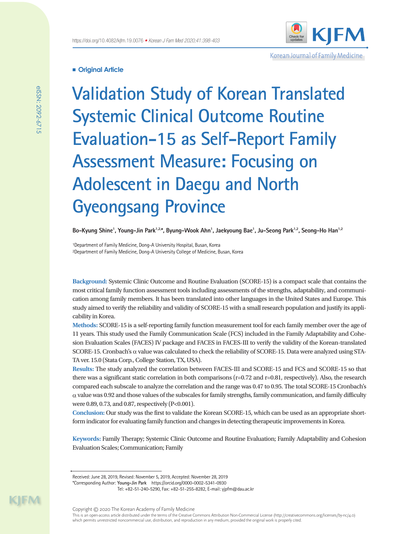

Korean Journal of Family Medicine

# **Original Article**

**Validation Study of Korean Translated Systemic Clinical Outcome Routine Evaluation-15 as Self-Report Family Assessment Measure: Focusing on Adolescent in Daegu and North Gyeongsang Province**

Bo–Kyung Shine<sup>1</sup>, Young–Jin Park<sup>1.2,</sup>\*, Byung–Wook Ahn<sup>1</sup>, Jaekyoung Bae<sup>1</sup>, Ju–Seong Park<sup>1,2</sup>, Seong–Ho Han<sup>1.2</sup>

<sup>1</sup>Department of Family Medicine, Dong-A University Hospital, Busan, Korea ²Department of Family Medicine, Dong-A University College of Medicine, Busan, Korea

**Background:** Systemic Clinic Outcome and Routine Evaluation (SCORE-15) is a compact scale that contains the most critical family function assessment tools including assessments of the strengths, adaptability, and communication among family members. It has been translated into other languages in the United States and Europe. This study aimed to verify the reliability and validity of SCORE-15 with a small research population and justify its applicability in Korea.

**Methods:** SCORE-15 is a self-reporting family function measurement tool for each family member over the age of 11 years. This study used the Family Communication Scale (FCS) included in the Family Adaptability and Cohesion Evaluation Scales (FACES) IV package and FACES in FACES-III to verify the validity of the Korean-translated SCORE-15. Cronbach's  $\alpha$  value was calculated to check the reliability of SCORE-15. Data were analyzed using STA-TA ver. 15.0 (Stata Corp., College Station, TX, USA).

**Results:** The study analyzed the correlation between FACES-III and SCORE-15 and FCS and SCORE-15 so that there was a significant static correlation in both comparisons (r=0.72 and r=0.81, respectively). Also, the research compared each subscale to analyze the correlation and the range was 0.47 to 0.95. The total SCORE-15 Cronbach's  $\alpha$  value was 0.92 and those values of the subscales for family strengths, family communication, and family difficulty were 0.89, 0.73, and 0.87, respectively (P<0.001).

**Conclusion:** Our study was the first to validate the Korean SCORE-15, which can be used as an appropriate shortform indicator for evaluating family function and changes in detecting therapeutic improvements in Korea.

**Keywords:** Family Therapy; Systemic Clinic Outcome and Routine Evaluation; Family Adaptability and Cohesion Evaluation Scales; Communication; Family

KIM

Received: June 28, 2019, Revised: November 5, 2019, Accepted: November 28, 2019

<sup>\*</sup>Corresponding Author: **Young-Jin Park** https://orcid.org/0000-0002-5341-0930

Tel: +82-51-240-5290, Fax: +82-51-255-8282, E-mail: yjpfm@dau.ac.kr

This is an open-access article distributed under the terms of the Creative Commons Attribution Non-Commercial License (http://creativecommons.org/licenses/by-nc/4.0) which permits unrestricted noncommercial use, distribution, and reproduction in any medium, provided the original work is properly cited.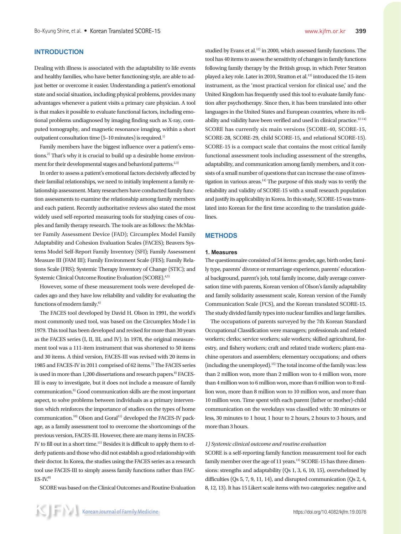## **INTRODUCTION**

Dealing with illness is associated with the adaptability to life events and healthy families, who have better functioning style, are able to adjust better or overcome it easier. Understanding a patient's emotional state and social situation, including physical problems, provides many advantages whenever a patient visits a primary care physician. A tool is that makes it possible to evaluate functional factors, including emotional problems undiagnosed by imaging finding such as X-ray, computed tomography, and magnetic resonance imaging, within a short outpatient consultation time  $(5-10$  minutes) is required.<sup>1)</sup>

Family members have the biggest influence over a patient's emotions.2) That's why it is crucial to build up a desirable home environment for their developmental stages and behavioral patterns. $2,3$ )

In order to assess a patient's emotional factors decisively affected by their familial relationships, we need to initially implement a family relationship assessment. Many researchers have conducted family function assessments to examine the relationship among family members and each patient. Recently authoritative reviews also stated the most widely used self-reported measuring tools for studying cases of couples and family therapy research. The tools are as follows: the McMaster Family Assessment Device (FAD); Circumplex Model Family Adaptability and Cohesion Evaluation Scales (FACES); Beavers Systems Model Self‐Report Family Inventory (SFI); Family Assessment Measure III (FAM III); Family Environment Scale (FES); Family Relations Scale (FRS); Systemic Therapy Inventory of Change (STIC); and Systemic Clinical Outcome Routine Evaluation (SCORE).4,5)

However, some of these measurement tools were developed decades ago and they have low reliability and validity for evaluating the functions of modern family.<sup>6)</sup>

The FACES tool developed by David H. Olson in 1991, the world's most commonly used tool, was based on the Circumplex Mode l in 1979. This tool has been developed and revised for more than 30 years as the FACES series (I, II, III, and IV). In 1978, the original measurement tool was a 111-item instrument that was shortened to 50 items and 30 items. A third version, FACES-III was revised with 20 items in 1985 and FACES-IV in 2011 comprised of 62 items.<sup>7)</sup> The FACES series is used in more than 1,200 dissertations and research papers.<sup>8)</sup> FACES-III is easy to investigate, but it does not include a measure of family communication.9) Good communication skills are the most important aspect, to solve problems between individuals as a primary intervention which reinforces the importance of studies on the types of home communication.<sup>10)</sup> Olson and Goral<sup>11)</sup> developed the FACES-IV package, as a family assessment tool to overcome the shortcomings of the previous version, FACES-III. However, there are many items in FACES-IV to fill out in a short time.<sup>11)</sup> Besides it is difficult to apply them to elderly patients and those who did not establish a good relationship with their doctor. In Korea, the studies using the FACES series as a research tool use FACES-III to simply assess family functions rather than FAC- $ES-IV<sup>8</sup>$ 

SCORE was based on the Clinical Outcomes and Routine Evaluation

studied by Evans et al.<sup>12)</sup> in 2000, which assessed family functions. The tool has 40 items to assess the sensitivity of changes in family functions following family therapy by the British group, in which Peter Stratton played a key role. Later in 2010, Stratton et al.<sup>13)</sup> introduced the 15-item instrument, as the 'most practical version for clinical use,' and the United Kingdom has frequently used this tool to evaluate family function after psychotherapy. Since then, it has been translated into other languages in the United States and European countries, where its reliability and validity have been verified and used in clinical practice.<sup>12-14)</sup> SCORE has currently six main versions (SCORE-40, SCORE-15, SCORE-28, SCORE-29, child SCORE-15, and relational SCORE-15). SCORE-15 is a compact scale that contains the most critical family functional assessment tools including assessment of the strengths, adaptability, and communication among family members, and it consists of a small number of questions that can increase the ease of investigation in various areas.<sup>14)</sup> The purpose of this study was to verify the reliability and validity of SCORE-15 with a small research population and justify its applicability in Korea. In this study, SCORE-15 was translated into Korean for the first time according to the translation guidelines.

## **METHODS**

### **1. Measures**

The questionnaire consisted of 54 items: gender, age, birth order, family type, parents' divorce or remarriage experience, parents' educational background, parent's job, total family income, daily average conversation time with parents, Korean version of Olson's family adaptability and family solidarity assessment scale, Korean version of the Family Communication Scale (FCS), and the Korean translated SCORE-15. The study divided family types into nuclear families and large families.

The occupations of parents surveyed by the 7th Korean Standard Occupational Classification were managers; professionals and related workers; clerks; service workers; sale workers; skilled agricultural, forestry, and fishery workers; craft and related trade workers; plant-machine operators and assemblers; elementary occupations; and others (including the unemployed).<sup>15)</sup> The total income of the family was: less than 2 million won, more than 2 million won to 4 million won, more than 4 million won to 6 million won, more than 6 million won to 8 million won, more than 8 million won to 10 million won, and more than 10 million won. Time spent with each parent (father or mother)-child communication on the weekdays was classified with: 30 minutes or less, 30 minutes to 1 hour, 1 hour to 2 hours, 2 hours to 3 hours, and more than 3 hours.

### *1) Systemic clinical outcome and routine evaluation*

SCORE is a self-reporting family function measurement tool for each family member over the age of 11 years.<sup>13)</sup> SCORE-15 has three dimensions: strengths and adaptability (Qs 1, 3, 6, 10, 15), overwhelmed by difficulties (Qs 5, 7, 9, 11, 14), and disrupted communication (Qs 2, 4, 8, 12, 13). It has 15 Likert scale items with two categories: negative and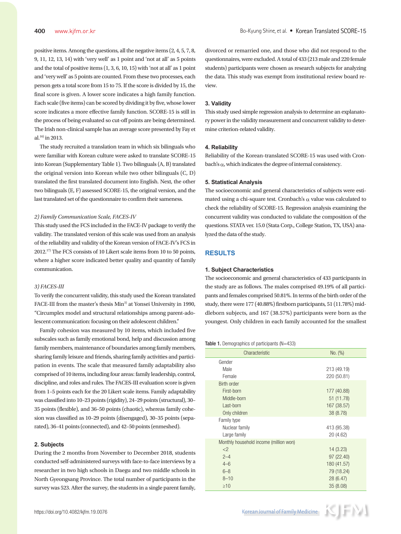positive items. Among the questions, all the negative items (2, 4, 5, 7, 8, 9, 11, 12, 13, 14) with 'very well' as 1 point and 'not at all' as 5 points and the total of positive items (1, 3, 6, 10, 15) with 'not at all' as 1 point and 'very well' as 5 points are counted. From these two processes, each person gets a total score from 15 to 75. If the score is divided by 15, the final score is given. A lower score indicates a high family function. Each scale (five items) can be scored by dividing it by five, whose lower score indicates a more effective family function. SCORE-15 is still in the process of being evaluated so cut-off points are being determined. The Irish non-clinical sample has an average score presented by Fay et al. $^{16)}$  in 2013.

The study recruited a translation team in which six bilinguals who were familiar with Korean culture were asked to translate SCORE-15 into Korean (Supplementary Table 1). Two bilinguals (A, B) translated the original version into Korean while two other bilinguals (C, D) translated the first translated document into English. Next, the other two bilinguals (E, F) assessed SCORE-15, the original version, and the last translated set of the questionnaire to confirm their sameness.

#### *2) Family Communication Scale, FACES-IV*

This study used the FCS included in the FACE-IV package to verify the validity. The translated version of this scale was used from an analysis of the reliability and validity of the Korean version of FACE-IV's FCS in 2012.17) The FCS consists of 10 Likert scale items from 10 to 50 points, where a higher score indicated better quality and quantity of family communication.

#### *3) FACES-III*

To verify the concurrent validity, this study used the Korean translated FACE-III from the master's thesis Min<sup>3)</sup> at Yonsei University in 1990, "Circumplex model and structural relationships among parent-adolescent communication: focusing on their adolescent children."

Family cohesion was measured by 10 items, which included five subscales such as family emotional bond, help and discussion among family members, maintenance of boundaries among family members, sharing family leisure and friends, sharing family activities and participation in events. The scale that measured family adaptability also comprised of 10 items, including four areas: family leadership, control, discipline, and roles and rules. The FACES-III evaluation score is given from 1–5 points each for the 20 Likert scale items. Family adaptability was classified into 10–23 points (rigidity), 24–29 points (structural), 30– 35 points (flexible), and 36–50 points (chaotic), whereas family cohesion was classified as 10–29 points (disengaged), 30–35 points (separated), 36–41 points (connected), and 42–50 points (enmeshed).

### **2. Subjects**

During the 2 months from November to December 2018, students conducted self-administered surveys with face-to-face interviews by a researcher in two high schools in Daegu and two middle schools in North Gyeongsang Province. The total number of participants in the survey was 523. After the survey, the students in a single parent family,

divorced or remarried one, and those who did not respond to the questionnaires, were excluded. A total of 433 (213 male and 220 female students) participants were chosen as research subjects for analyzing the data. This study was exempt from institutional review board review.

#### **3. Validity**

This study used simple regression analysis to determine an explanatory power in the validity measurement and concurrent validity to determine criterion-related validity.

### **4. Reliability**

Reliability of the Korean-translated SCORE-15 was used with Cronbach's α, which indicates the degree of internal consistency.

#### **5. Statistical Analysis**

The socioeconomic and general characteristics of subjects were estimated using a chi-square test. Cronbach's  $\alpha$  value was calculated to check the reliability of SCORE-15. Regression analysis examining the concurrent validity was conducted to validate the composition of the questions. STATA ver. 15.0 (Stata Corp., College Station, TX, USA) analyzed the data of the study.

## **RESULTS**

### **1. Subject Characteristics**

The socioeconomic and general characteristics of 433 participants in the study are as follows. The males comprised 49.19% of all participants and females comprised 50.81%. In terms of the birth order of the study, there were 177 (40.88%) firstborn participants, 51 (11.78%) middleborn subjects, and 167 (38.57%) participants were born as the youngest. Only children in each family accounted for the smallest

#### Table 1. Demographics of participants (N=433)

| Characteristic                         | No. (%)     |
|----------------------------------------|-------------|
| Gender                                 |             |
| Male                                   | 213 (49.19) |
| Female                                 | 220 (50.81) |
| <b>Birth order</b>                     |             |
| First-born                             | 177 (40.88) |
| Middle-born                            | 51 (11.78)  |
| Last-born                              | 167 (38.57) |
| Only children                          | 38 (8.78)   |
| Family type                            |             |
| Nuclear family                         | 413 (95.38) |
| Large family                           | 20 (4.62)   |
| Monthly household income (million won) |             |
| <                                      | 14(3.23)    |
| $2 - 4$                                | 97 (22.40)  |
| $4 - 6$                                | 180 (41.57) |
| $6 - 8$                                | 79 (18.24)  |
| $8 - 10$                               | 28 (6.47)   |
| $\geq 10$                              | 35(8.08)    |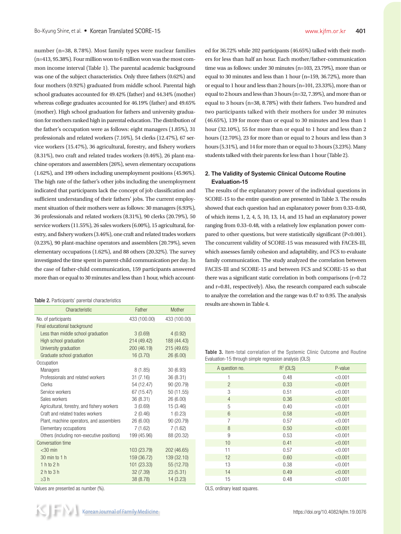number (n=38, 8.78%). Most family types were nuclear families (n=413, 95.38%). Four million won to 6 million won was the most common income interval (Table 1). The parental academic background was one of the subject characteristics. Only three fathers (0.62%) and four mothers (0.92%) graduated from middle school. Parental high school graduates accounted for 49.42% (father) and 44.34% (mother) whereas college graduates accounted for 46.19% (father) and 49.65% (mother). High school graduation for fathers and university graduation for mothers ranked high in parental education. The distribution of the father's occupation were as follows: eight managers (1.85%), 31 professionals and related workers (7.16%), 54 clerks (12.47%), 67 service workers (15.47%), 36 agricultural, forestry, and fishery workers (8.31%), two craft and related trades workers (0.46%), 26 plant-machine operators and assemblers (26%), seven elementary occupations (1.62%), and 199 others including unemployment positions (45.96%). The high rate of the father's other jobs including the unemployment indicated that participants lack the concept of job classification and sufficient understanding of their fathers' jobs. The current employment situation of their mothers were as follows: 30 managers (6.93%), 36 professionals and related workers (8.31%), 90 clerks (20.79%), 50 service workers (11.55%), 26 sales workers (6.00%), 15 agricultural, forestry, and fishery workers (3.46%), one craft and related trades workers (0.23%), 90 plant-machine operators and assemblers (20.79%), seven elementary occupations (1.62%), and 88 others (20.32%). The survey investigated the time spent in parent-child communication per day. In the case of father-child communication, 159 participants answered more than or equal to 30 minutes and less than 1 hour, which account-

|  | <b>Table 2.</b> Participants' parental characteristics |
|--|--------------------------------------------------------|
|--|--------------------------------------------------------|

| Characteristic                              | Father       | Mother       |
|---------------------------------------------|--------------|--------------|
| No. of participants                         | 433 (100.00) | 433 (100.00) |
| Final educational background                |              |              |
| Less than middle school graduation          | 3(0.69)      | 4(0.92)      |
| High school graduation                      | 214 (49.42)  | 188 (44.43)  |
| University graduation                       | 200 (46.19)  | 215 (49.65)  |
| Graduate school graduation                  | 16 (3.70)    | 26 (6.00)    |
| Occupation                                  |              |              |
| <b>Managers</b>                             | 8(1.85)      | 30(6.93)     |
| Professionals and related workers           | 31(7.16)     | 36 (8.31)    |
| Clerks                                      | 54 (12.47)   | 90 (20.79)   |
| Service workers                             | 67 (15.47)   | 50 (11.55)   |
| Sales workers                               | 36 (8.31)    | 26 (6.00)    |
| Agricultural, forestry, and fishery workers | 3(0.69)      | 15 (3.46)    |
| Craft and related trades workers            | 2(0.46)      | 1(0.23)      |
| Plant, machine operators, and assemblers    | 26 (6.00)    | 90 (20.79)   |
| Elementary occupations                      | 7 (1.62)     | 7(1.62)      |
| Others (including non-executive positions)  | 199 (45.96)  | 88 (20.32)   |
| Conversation time                           |              |              |
| $<$ 30 min                                  | 103 (23.79)  | 202 (46.65)  |
| 30 min to 1 h                               | 159 (36.72)  | 139 (32.10)  |
| $1h$ to $2h$                                | 101 (23.33)  | 55 (12.70)   |
| $2h$ to $3h$                                | 32 (7.39)    | 23(5.31)     |
| $\geq$ 3 h                                  | 38 (8.78)    | 14(3.23)     |

Values are presented as number (%).

ed for 36.72% while 202 participants (46.65%) talked with their mothers for less than half an hour. Each mother/father-communication time was as follows: under 30 minutes (n=103, 23.79%), more than or equal to 30 minutes and less than 1 hour (n=159, 36.72%), more than or equal to 1 hour and less than 2 hours (n=101, 23.33%), more than or equal to 2 hours and less than 3 hours (n=32, 7.39%), and more than or equal to 3 hours (n=38, 8.78%) with their fathers. Two hundred and two participants talked with their mothers for under 30 minutes (46.65%), 139 for more than or equal to 30 minutes and less than 1 hour (32.10%), 55 for more than or equal to 1 hour and less than 2 hours (12.70%), 23 for more than or equal to 2 hours and less than 3 hours (5.31%), and 14 for more than or equal to 3 hours (3.23%). Many students talked with their parents for less than 1 hour (Table 2).

## **2. The Validity of Systemic Clinical Outcome Routine Evaluation-15**

The results of the explanatory power of the individual questions in SCORE-15 to the entire question are presented in Table 3. The results showed that each question had an explanatory power from 0.33–0.60, of which items 1, 2, 4, 5, 10, 13, 14, and 15 had an explanatory power ranging from 0.33–0.48, with a relatively low explanation power compared to other questions, but were statistically significant (P<0.001). The concurrent validity of SCORE-15 was measured with FACES-III, which assesses family cohesion and adaptability, and FCS to evaluate family communication. The study analyzed the correlation between FACES-III and SCORE-15 and between FCS and SCORE-15 so that there was a significant static correlation in both comparisons (r=0.72 and r=0.81, respectively). Also, the research compared each subscale to analyze the correlation and the range was 0.47 to 0.95. The analysis results are shown in Table 4.

Table 3. Item-total correlation of the Systemic Clinic Outcome and Routine Evaluation-15 through simple regression analysis (OLS)

| A question no. | $R^2$ (OLS) | P-value |
|----------------|-------------|---------|
| 1              | 0.48        | < 0.001 |
| $\overline{2}$ | 0.33        | < 0.001 |
| 3              | 0.51        | < 0.001 |
| $\overline{4}$ | 0.36        | < 0.001 |
| 5              | 0.40        | < 0.001 |
| 6              | 0.58        | < 0.001 |
| 7              | 0.57        | < 0.001 |
| 8              | 0.50        | < 0.001 |
| 9              | 0.53        | < 0.001 |
| 10             | 0.41        | < 0.001 |
| 11             | 0.57        | < 0.001 |
| 12             | 0.60        | < 0.001 |
| 13             | 0.38        | < 0.001 |
| 14             | 0.49        | < 0.001 |
| 15             | 0.48        | < 0.001 |

OLS, ordinary least squares.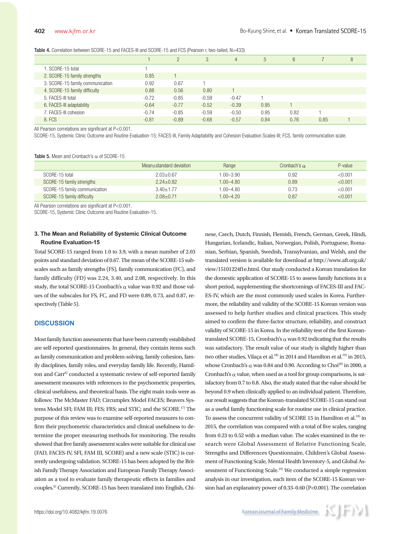|                                  |         | $\overline{2}$ | 3       | $\overline{4}$ | 5    | 6    |      | 8 |
|----------------------------------|---------|----------------|---------|----------------|------|------|------|---|
| 1. SCORE-15 total                |         |                |         |                |      |      |      |   |
| 2. SCORE-15 family strengths     | 0.85    |                |         |                |      |      |      |   |
| 3. SCORE-15 family communication | 0.92    | 0.67           |         |                |      |      |      |   |
| 4. SCORE-15 family difficulty    | 0.88    | 0.56           | 0.80    |                |      |      |      |   |
| 5. FACES-III total               | $-0.72$ | $-0.85$        | $-0.59$ | $-0.47$        |      |      |      |   |
| 6. FACES-III adaptability        | $-0.64$ | $-0.77$        | $-0.52$ | $-0.39$        | 0.95 |      |      |   |
| 7. FACES-III cohesion            | $-0.74$ | $-0.85$        | $-0.59$ | $-0.50$        | 0.95 | 0.82 |      |   |
| 8. FCS                           | $-0.81$ | $-0.89$        | $-0.68$ | $-0.57$        | 0.84 | 0.76 | 0.85 |   |

All Pearson correlations are significant at P<0.001.

SCORE-15, Systemic Clinic Outcome and Routine Evaluation-15; FACES-III, Family Adaptability and Cohesion Evaluation Scales-III; FCS, family communication scale.

#### Table 5. Mean and Cronbach's  $\alpha$  of SCORE-15

|                               | Mean+standard deviation | Range         | Cronbach's $\alpha$ | P-value |
|-------------------------------|-------------------------|---------------|---------------------|---------|
| SCORE-15 total                | $2.03 + 0.67$           | $1.00 - 3.90$ | 0.92                | < 0.001 |
| SCORE-15 family strengths     | $2.24 + 0.82$           | $1.00 - 4.80$ | 0.89                | < 0.001 |
| SCORE-15 family communication | $3.40 + 1.77$           | $1.00 - 4.80$ | 0.73                | < 0.001 |
| SCORE-15 family difficulty    | $2.08 + 0.71$           | $1.00 - 4.20$ | 0.87                | < 0.001 |

All Pearson correlations are significant at P<0.001.

SCORE-15, Systemic Clinic Outcome and Routine Evaluation-15.

## **3. The Mean and Reliability of Systemic Clinical Outcome Routine Evaluation-15**

Total SCORE-15 ranged from 1.0 to 3.9, with a mean number of 2.03 points and standard deviation of 0.67. The mean of the SCORE-15 subscales such as family strengths (FS), family communication (FC), and family difficulty (FD) was 2.24, 3.40, and 2.08, respectively. In this study, the total SCORE-15 Cronbach's  $\alpha$  value was 0.92 and those values of the subscales for FS, FC, and FD were 0.89, 0.73, and 0.87, respectively (Table 5).

## **DISCUSSION**

Most family function assessments that have been currently established are self-reported questionnaires. In general, they contain items such as family communication and problem-solving, family cohesion, family disciplines, family roles, and everyday family life. Recently, Hamilton and Carr<sup>6)</sup> conducted a systematic review of self-reported family assessment measures with references to the psychometric properties, clinical usefulness, and theoretical basis. The eight main tools were as follows: The McMaster FAD; Circumplex Model FACES; Beavers Systems Model SFI; FAM III; FES; FRS; and STIC; and the SCORE.17) The purpose of this review was to examine self-reported measures to confirm their psychometric characteristics and clinical usefulness to determine the proper measuring methods for monitoring. The results showed that five family assessment scales were suitable for clinical use (FAD, FACES-IV, SFI, FAM III, SCORE) and a new scale (STIC) is currently undergoing validation. SCORE-15 has been adopted by the British Family Therapy Association and European Family Therapy Association as a tool to evaluate family therapeutic effects in families and couples.6) Currently, SCORE-15 has been translated into English, Chi-

nese, Czech, Dutch, Finnish, Flemish, French, German, Greek, Hindi, Hungarian, Icelandic, Italian, Norwegian, Polish, Portuguese, Romanian, Serbian, Spanish, Swedish, Transylvanian, and Welsh, and the translated version is available for download at http://www.aft.org.uk/ view/15101224f1e.html. Our study conducted a Korean translation for the domestic application of SCORE-15 to assess family functions in a short period, supplementing the shortcomings of FACES-III and FAC-ES-IV, which are the most commonly used scales in Korea. Furthermore, the reliability and validity of the SCORE-15 Korean version was assessed to help further studies and clinical practices. This study aimed to confirm the three-factor structure, reliability, and construct validity of SCORE-15 in Korea. In the reliability test of the first Koreantranslated SCORE-15, Cronbach's  $\alpha$  was 0.92 indicating that the results was satisfactory. The result value of our study is slightly higher than two other studies, Vilaça et al.<sup>18)</sup> in 2014 and Hamilton et al.<sup>19)</sup> in 2015, whose Cronbach's  $\alpha$  was 0.84 and 0.90. According to Choi<sup>20)</sup> in 2000, a Cronbach's  $\alpha$  value, when used as a tool for group comparisons, is satisfactory from 0.7 to 0.8. Also, the study stated that the value should be beyond 0.9 when clinically applied to an individual patient. Therefore, our result suggests that the Korean-translated SCORE-15 can stand out as a useful family functioning scale for routine use in clinical practice. To assess the concurrent validity of SCORE 15 in Hamilton et al.<sup>19)</sup> in 2015, the correlation was compared with a total of five scales, ranging from 0.23 to 0.52 with a median value. The scales examined in the research were Global Assessment of Relative Functioning Scale, Strengths and Differences Questionnaire, Children's Global Assessment of Functioning Scale, Mental Health Inventory-5, and Global Assessment of Functioning Scale.<sup>19)</sup> We conducted a simple regression analysis in our investigation, each item of the SCORE-15 Korean version had an explanatory power of 0.33–0.60 (P<0.001). The correlation